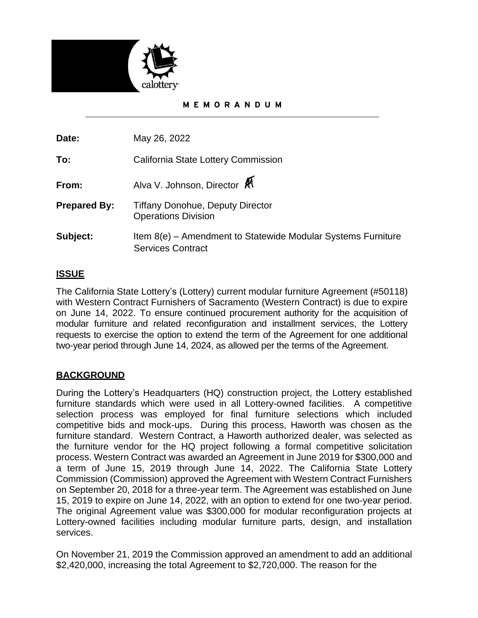

## **MEMORANDUM**

**Date:** May 26, 2022

**To:** California State Lottery Commission

**From:** Alva V. Johnson, Director

- **Prepared By:** Tiffany Donohue, Deputy Director Operations Division
- **Subject:** Item 8(e) Amendment to Statewide Modular Systems Furniture Services Contract

# **ISSUE**

The California State Lottery's (Lottery) current modular furniture Agreement (#50118) with Western Contract Furnishers of Sacramento (Western Contract) is due to expire on June 14, 2022. To ensure continued procurement authority for the acquisition of modular furniture and related reconfiguration and installment services, the Lottery requests to exercise the option to extend the term of the Agreement for one additional two-year period through June 14, 2024, as allowed per the terms of the Agreement.

# **BACKGROUND**

During the Lottery's Headquarters (HQ) construction project, the Lottery established furniture standards which were used in all Lottery-owned facilities. A competitive selection process was employed for final furniture selections which included competitive bids and mock-ups. During this process, Haworth was chosen as the furniture standard. Western Contract, a Haworth authorized dealer, was selected as the furniture vendor for the HQ project following a formal competitive solicitation process. Western Contract was awarded an Agreement in June 2019 for \$300,000 and a term of June 15, 2019 through June 14, 2022. The California State Lottery Commission (Commission) approved the Agreement with Western Contract Furnishers on September 20, 2018 for a three-year term. The Agreement was established on June 15, 2019 to expire on June 14, 2022, with an option to extend for one two-year period. The original Agreement value was \$300,000 for modular reconfiguration projects at Lottery-owned facilities including modular furniture parts, design, and installation services.

On November 21, 2019 the Commission approved an amendment to add an additional \$2,420,000, increasing the total Agreement to \$2,720,000. The reason for the